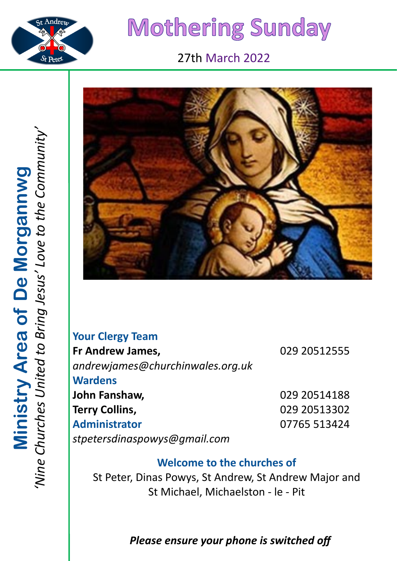

# Mothering Sunday

# 27th March 2022



| <b>Your Clergy Team</b>          |              |
|----------------------------------|--------------|
| Fr Andrew James,                 | 029 20512555 |
| andrewjames@churchinwales.org.uk |              |
| <b>Wardens</b>                   |              |
| John Fanshaw,                    | 029 20514188 |
| <b>Terry Collins,</b>            | 029 20513302 |
| <b>Administrator</b>             | 07765 513424 |
| stpetersdinaspowys@gmail.com     |              |

# **Welcome to the churches of**

St Peter, Dinas Powys, St Andrew, St Andrew Major and St Michael, Michaelston - le - Pit

# *Please ensure your phone is switched off*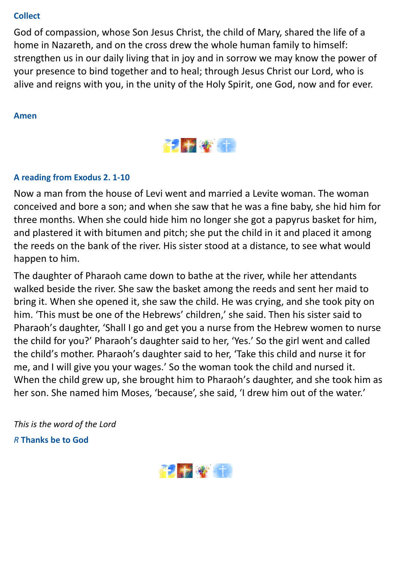#### **Collect**

God of compassion, whose Son Jesus Christ, the child of Mary, shared the life of a home in Nazareth, and on the cross drew the whole human family to himself: strengthen us in our daily living that in joy and in sorrow we may know the power of your presence to bind together and to heal; through Jesus Christ our Lord, who is alive and reigns with you, in the unity of the Holy Spirit, one God, now and for ever.

#### **Amen**



#### **A reading from Exodus 2. 1-10**

Now a man from the house of Levi went and married a Levite woman. The woman conceived and bore a son; and when she saw that he was a fine baby, she hid him for three months. When she could hide him no longer she got a papyrus basket for him, and plastered it with bitumen and pitch; she put the child in it and placed it among the reeds on the bank of the river. His sister stood at a distance, to see what would happen to him.

The daughter of Pharaoh came down to bathe at the river, while her attendants walked beside the river. She saw the basket among the reeds and sent her maid to bring it. When she opened it, she saw the child. He was crying, and she took pity on him. 'This must be one of the Hebrews' children,' she said. Then his sister said to Pharaoh's daughter, 'Shall I go and get you a nurse from the Hebrew women to nurse the child for you?' Pharaoh's daughter said to her, 'Yes.' So the girl went and called the child's mother. Pharaoh's daughter said to her, 'Take this child and nurse it for me, and I will give you your wages.' So the woman took the child and nursed it. When the child grew up, she brought him to Pharaoh's daughter, and she took him as her son. She named him Moses, 'because', she said, 'I drew him out of the water.'

*This is the word of the Lord R* **Thanks be to God**

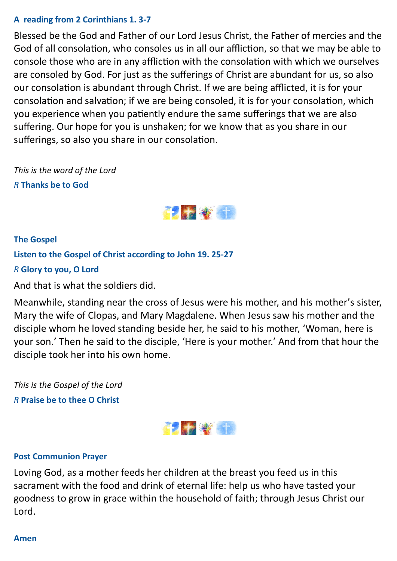#### **A reading from 2 Corinthians 1. 3-7**

Blessed be the God and Father of our Lord Jesus Christ, the Father of mercies and the God of all consolation, who consoles us in all our affliction, so that we may be able to console those who are in any affliction with the consolation with which we ourselves are consoled by God. For just as the sufferings of Christ are abundant for us, so also our consolation is abundant through Christ. If we are being afflicted, it is for your consolation and salvation; if we are being consoled, it is for your consolation, which you experience when you patiently endure the same sufferings that we are also suffering. Our hope for you is unshaken; for we know that as you share in our sufferings, so also you share in our consolation.

*This is the word of the Lord R* **Thanks be to God**



## **The Gospel Listen to the Gospel of Christ according to John 19. 25-27** *R* **Glory to you, O Lord** And that is what the soldiers did.

Meanwhile, standing near the cross of Jesus were his mother, and his mother's sister, Mary the wife of Clopas, and Mary Magdalene. When Jesus saw his mother and the disciple whom he loved standing beside her, he said to his mother, 'Woman, here is your son.' Then he said to the disciple, 'Here is your mother.' And from that hour the disciple took her into his own home.

*This is the Gospel of the Lord R* **Praise be to thee O Christ**



#### **Post Communion Prayer**

Loving God, as a mother feeds her children at the breast you feed us in this sacrament with the food and drink of eternal life: help us who have tasted your goodness to grow in grace within the household of faith; through Jesus Christ our Lord.